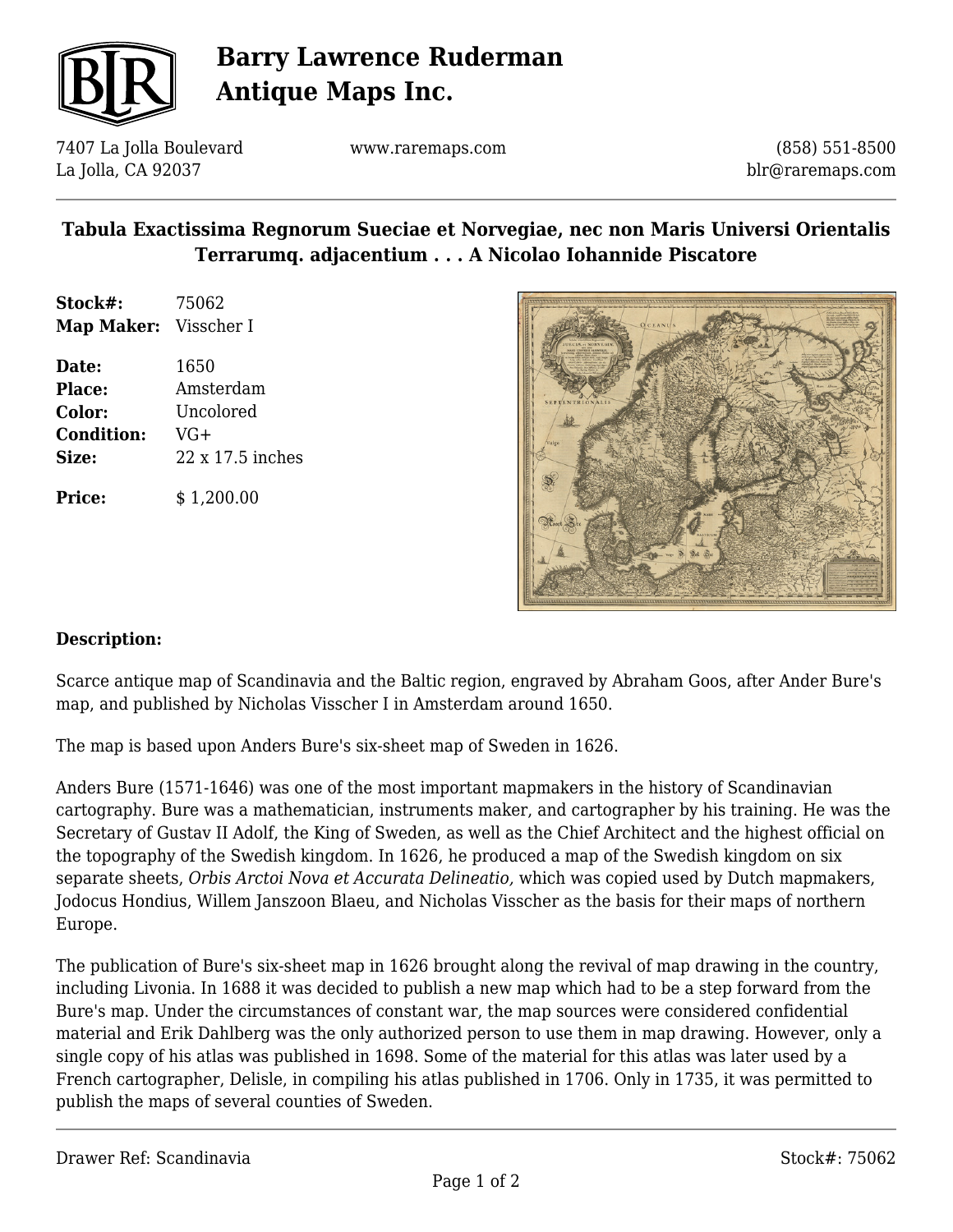

## **Barry Lawrence Ruderman Antique Maps Inc.**

7407 La Jolla Boulevard La Jolla, CA 92037

www.raremaps.com

(858) 551-8500 blr@raremaps.com

## **Tabula Exactissima Regnorum Sueciae et Norvegiae, nec non Maris Universi Orientalis Terrarumq. adjacentium . . . A Nicolao Iohannide Piscatore**

**Stock#:** 75062 **Map Maker:** Visscher I

**Date:** 1650 **Place:** Amsterdam **Color:** Uncolored **Condition:** VG+ **Size:** 22 x 17.5 inches

**Price:**  $$ 1,200.00$ 



## **Description:**

Scarce antique map of Scandinavia and the Baltic region, engraved by Abraham Goos, after Ander Bure's map, and published by Nicholas Visscher I in Amsterdam around 1650.

The map is based upon Anders Bure's six-sheet map of Sweden in 1626.

Anders Bure (1571-1646) was one of the most important mapmakers in the history of Scandinavian cartography. Bure was a mathematician, instruments maker, and cartographer by his training. He was the Secretary of Gustav II Adolf, the King of Sweden, as well as the Chief Architect and the highest official on the topography of the Swedish kingdom. In 1626, he produced a map of the Swedish kingdom on six separate sheets, *Orbis Arctoi Nova et Accurata Delineatio,* which was copied used by Dutch mapmakers, Jodocus Hondius, Willem Janszoon Blaeu, and Nicholas Visscher as the basis for their maps of northern Europe.

The publication of Bure's six-sheet map in 1626 brought along the revival of map drawing in the country, including Livonia. In 1688 it was decided to publish a new map which had to be a step forward from the Bure's map. Under the circumstances of constant war, the map sources were considered confidential material and Erik Dahlberg was the only authorized person to use them in map drawing. However, only a single copy of his atlas was published in 1698. Some of the material for this atlas was later used by a French cartographer, Delisle, in compiling his atlas published in 1706. Only in 1735, it was permitted to publish the maps of several counties of Sweden.